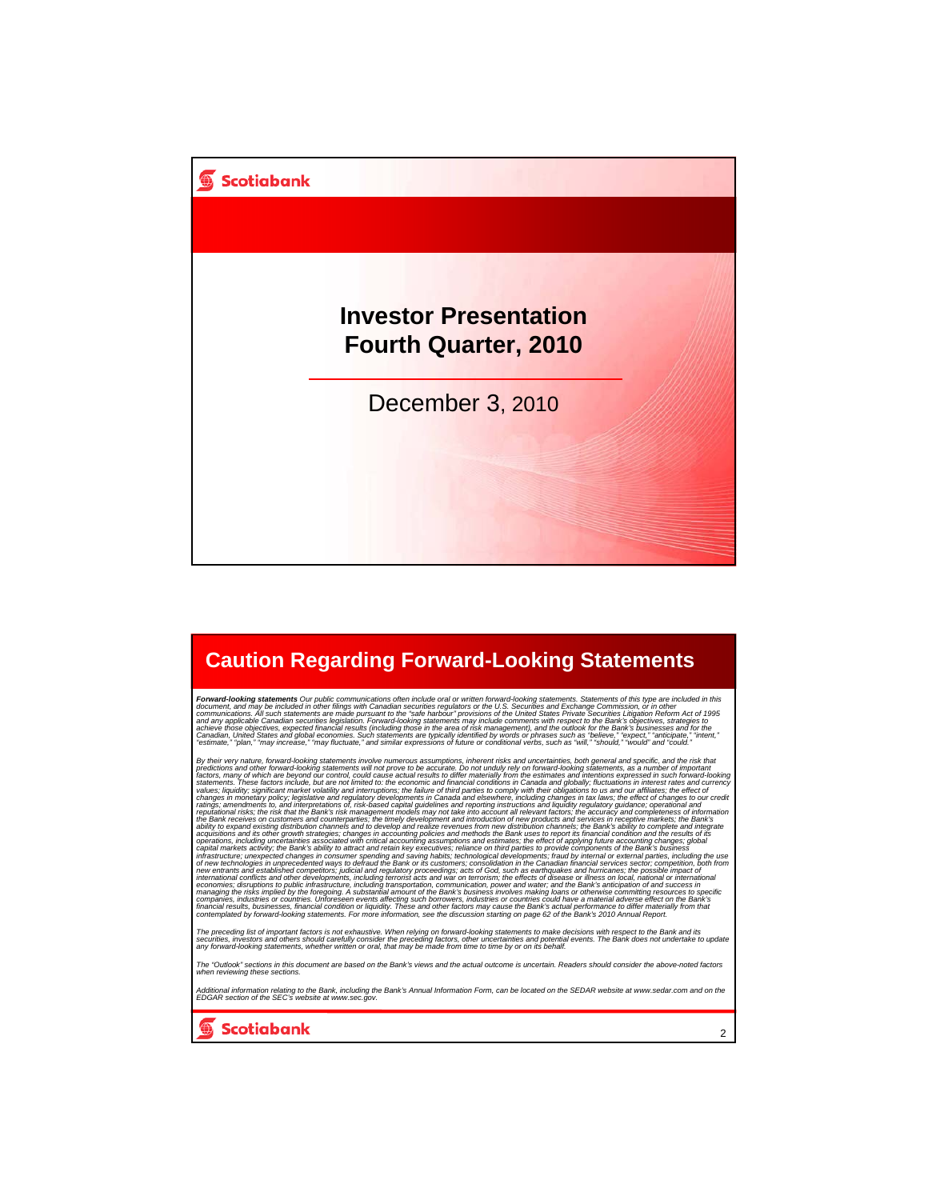

#### **Caution Regarding Forward-Looking Statements**

Forward-looking statements Our public communications often include oral or written forward-looking statements. Statements of this type are included in this specially document and may be included in other filings with Canad

By their very nature, forward-looking statements involve numerous assumptions, inherent risks and uncertainties, both general and specific, and the risk that the risk that the risk that the risk that in specific and the fo capital markets activity; the Bank's ability to attract and retain key executives; reliance on third parties to provide components of the Bank's business<br>infrastructure; unexpected changes in consumer spending and saving h

The preceding list of important factors is not exhaustive. When relying on forward-looking statements to make decisions with respect to the Bank and its<br>securities, investors and others should carefully consider the preced

The "Outlook" sections in this document are based on the Bank's views and the actual outcome is uncertain. Readers should consider the above-noted factors<br>when reviewing these sections.

Additional information relating to the Bank, including the Bank's Annual Information Form, can be located on the SEDAR website at www.sedar.com and on the<br>EDGAR section of the SEC's website at www.sec.gov.

2

**Scotiabank**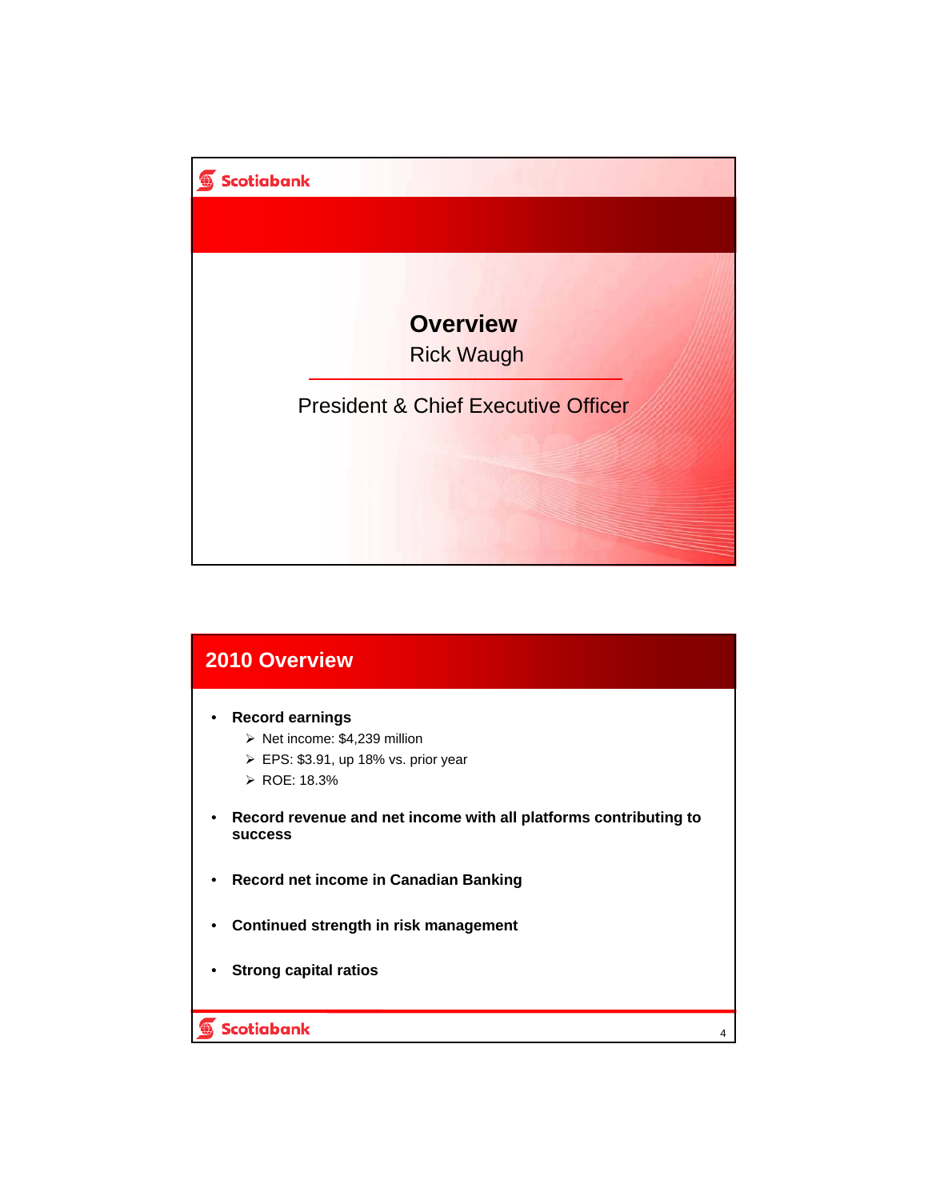

| 2010 Overview                                                                                                                                                |   |
|--------------------------------------------------------------------------------------------------------------------------------------------------------------|---|
| <b>Record earnings</b><br>$\triangleright$ Net income: \$4,239 million<br>$\triangleright$ EPS: \$3.91, up 18% vs. prior year<br>$\triangleright$ ROE: 18.3% |   |
| Record revenue and net income with all platforms contributing to<br><b>SUCCESS</b>                                                                           |   |
| Record net income in Canadian Banking<br>٠                                                                                                                   |   |
| Continued strength in risk management                                                                                                                        |   |
| <b>Strong capital ratios</b>                                                                                                                                 |   |
| <b>Scotiabank</b>                                                                                                                                            | 4 |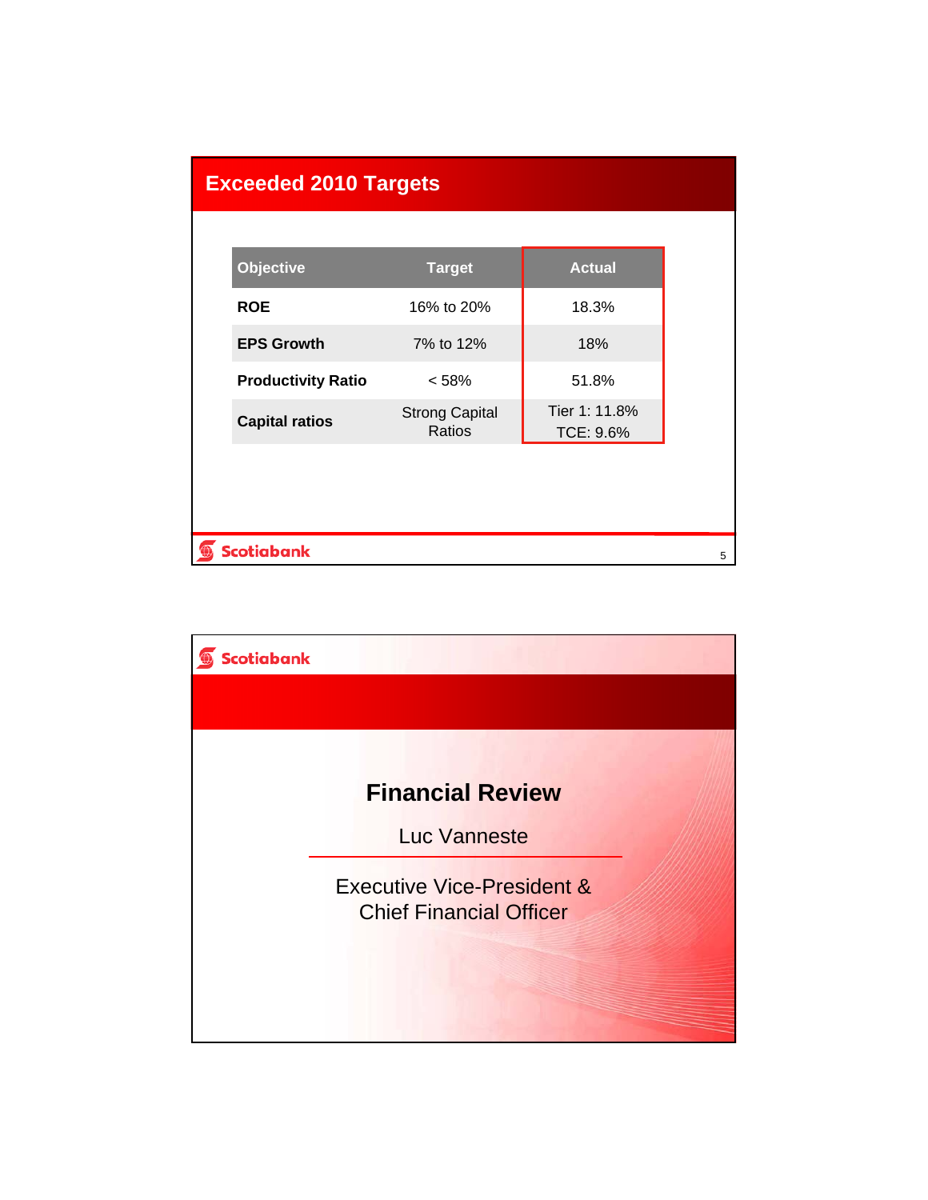| <b>Exceeded 2010 Targets</b> |                                 |                            |   |  |  |  |  |
|------------------------------|---------------------------------|----------------------------|---|--|--|--|--|
|                              |                                 |                            |   |  |  |  |  |
| <b>Objective</b>             | <b>Target</b>                   | <b>Actual</b>              |   |  |  |  |  |
| <b>ROE</b>                   | 16% to 20%                      | 18.3%                      |   |  |  |  |  |
| <b>EPS Growth</b>            | 7% to 12%                       | 18%                        |   |  |  |  |  |
| <b>Productivity Ratio</b>    | < 58%                           | 51.8%                      |   |  |  |  |  |
| <b>Capital ratios</b>        | <b>Strong Capital</b><br>Ratios | Tier 1: 11.8%<br>TCE: 9.6% |   |  |  |  |  |
|                              |                                 |                            |   |  |  |  |  |
|                              |                                 |                            |   |  |  |  |  |
|                              |                                 |                            |   |  |  |  |  |
| <b>Scotiabank</b>            |                                 |                            | 5 |  |  |  |  |

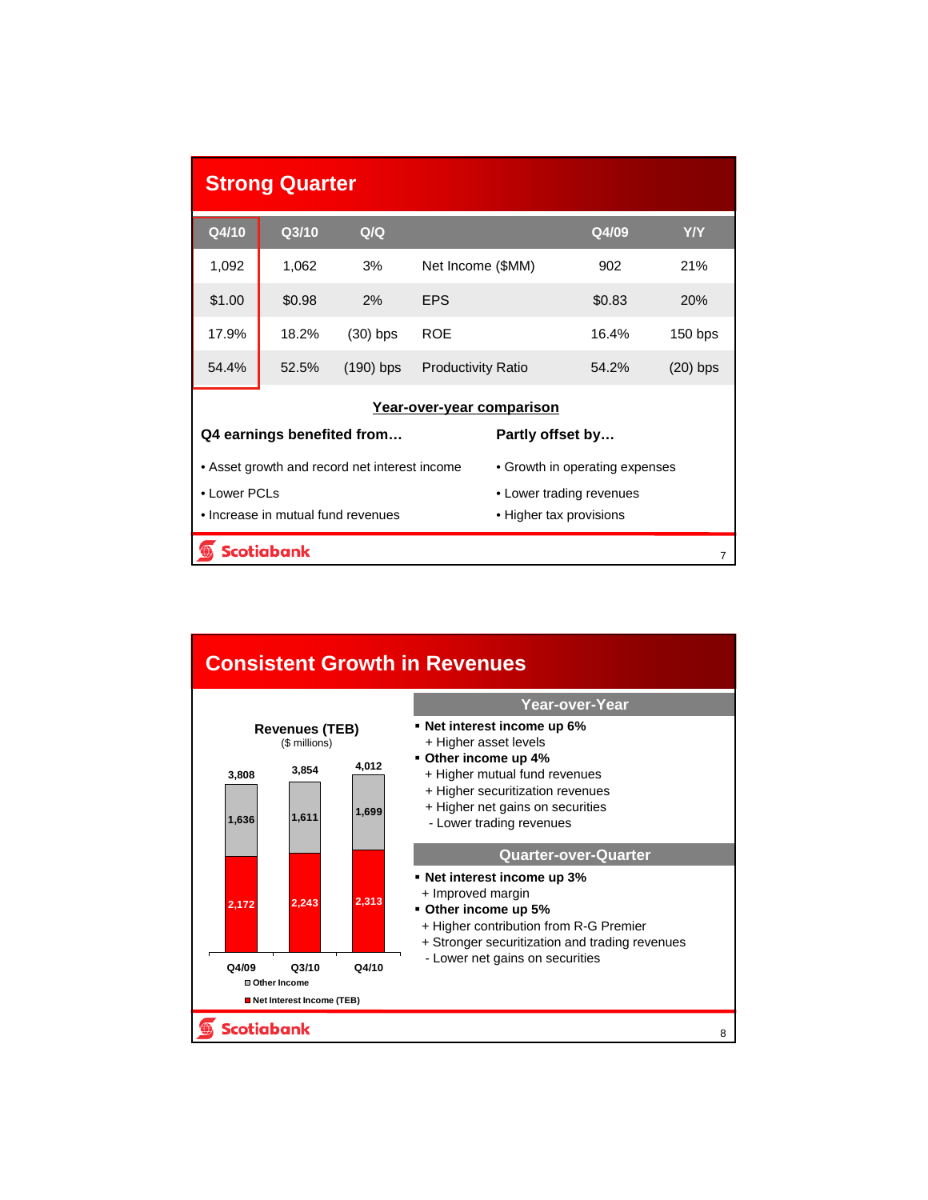| <b>Strong Quarter</b>                                         |                            |                                               |                           |                                |        |            |  |
|---------------------------------------------------------------|----------------------------|-----------------------------------------------|---------------------------|--------------------------------|--------|------------|--|
| $\overline{Q4/10}$                                            | Q3/10                      | Q/Q                                           |                           |                                | Q4/09  | <b>Y/Y</b> |  |
| 1,092                                                         | 1,062                      | 3%                                            | Net Income (\$MM)         |                                | 902    | 21%        |  |
| \$1.00                                                        | \$0.98                     | 2%                                            | <b>EPS</b>                |                                | \$0.83 | 20%        |  |
| 17.9%                                                         | 18.2%                      | $(30)$ bps                                    | <b>ROE</b>                |                                | 16.4%  | $150$ bps  |  |
| 54.4%                                                         | 52.5%                      | $(190)$ bps                                   | <b>Productivity Ratio</b> |                                | 54.2%  | $(20)$ bps |  |
|                                                               |                            |                                               | Year-over-year comparison |                                |        |            |  |
|                                                               | Q4 earnings benefited from |                                               |                           | Partly offset by               |        |            |  |
|                                                               |                            | • Asset growth and record net interest income |                           | • Growth in operating expenses |        |            |  |
| • Lower PCLs                                                  |                            |                                               |                           | • Lower trading revenues       |        |            |  |
| • Increase in mutual fund revenues<br>• Higher tax provisions |                            |                                               |                           |                                |        |            |  |
|                                                               | <b>Scotiabank</b><br>7     |                                               |                           |                                |        |            |  |

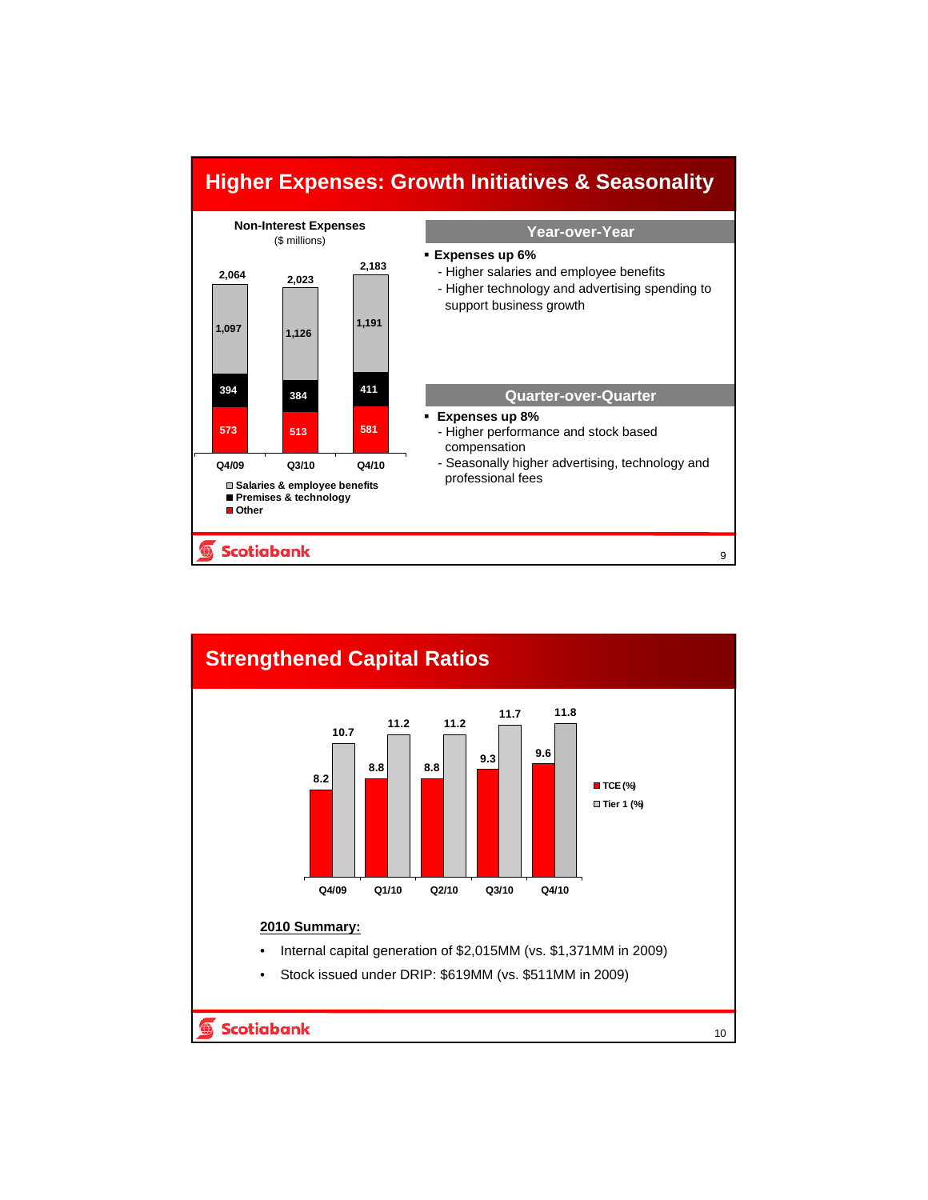

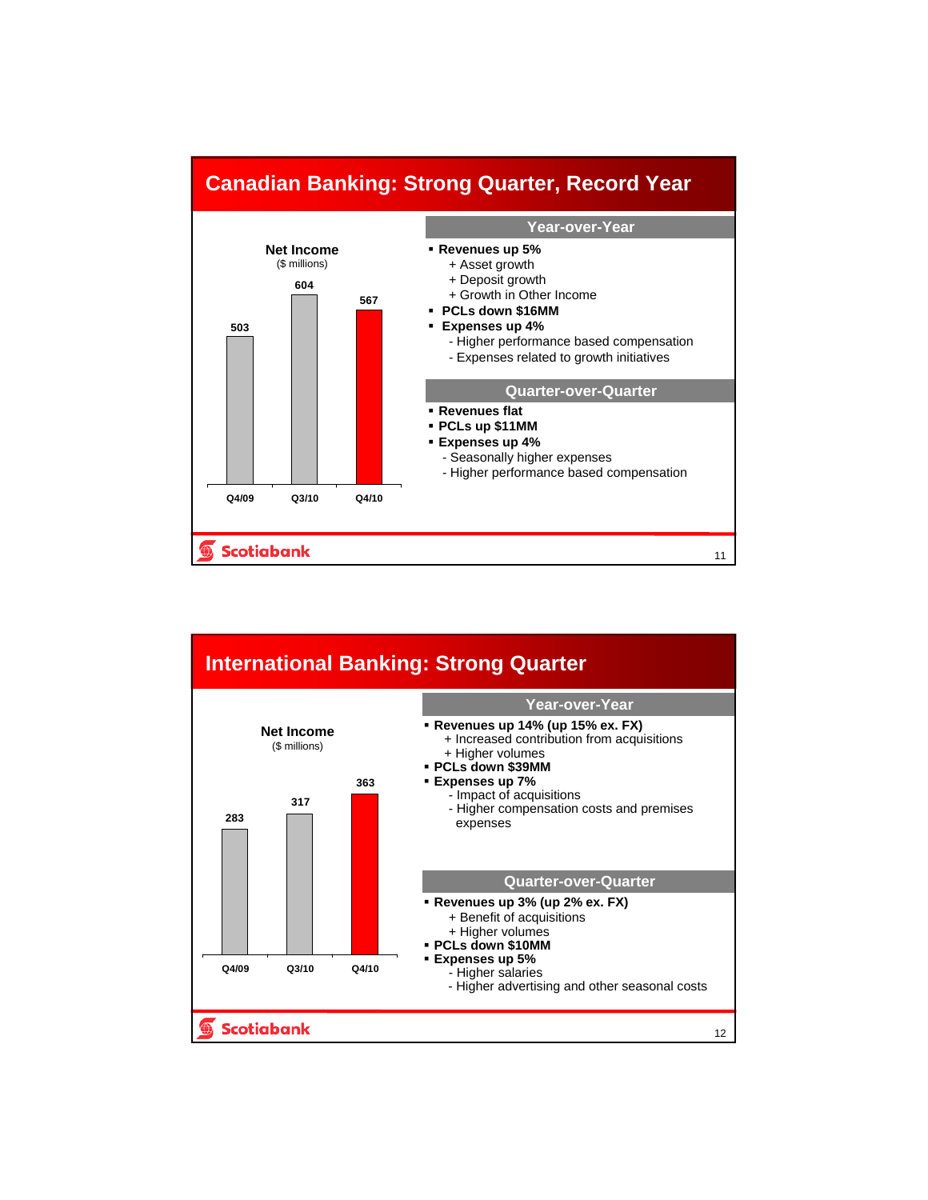#### **Canadian Banking: Strong Quarter, Record Year**



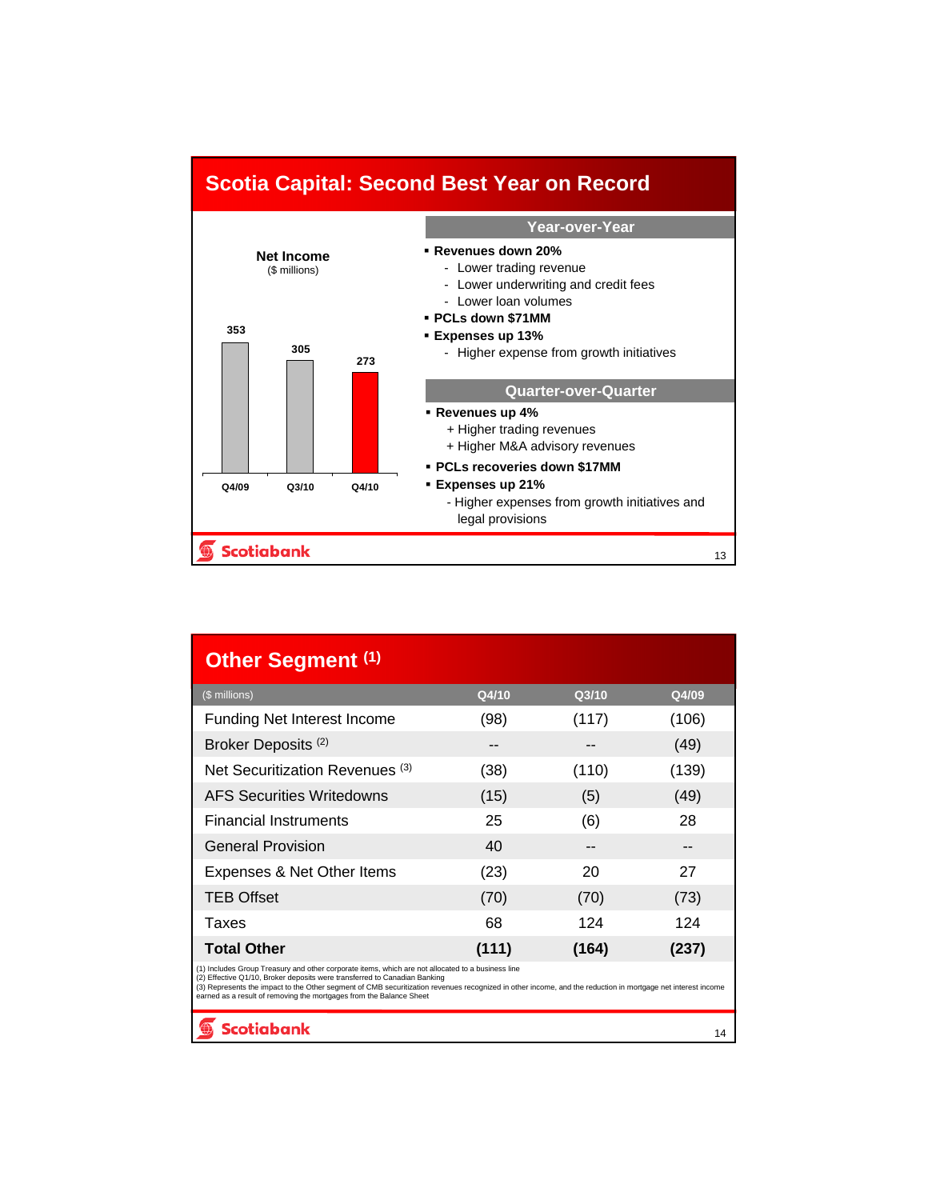# **Scotia Capital: Second Best Year on Record**



| Other Segment (1)                                                                                                                                                                                                                                                                                                                                                                                                    |       |       |       |  |  |  |
|----------------------------------------------------------------------------------------------------------------------------------------------------------------------------------------------------------------------------------------------------------------------------------------------------------------------------------------------------------------------------------------------------------------------|-------|-------|-------|--|--|--|
| (\$ millions)                                                                                                                                                                                                                                                                                                                                                                                                        | Q4/10 | Q3/10 | Q4/09 |  |  |  |
| <b>Funding Net Interest Income</b>                                                                                                                                                                                                                                                                                                                                                                                   | (98)  | (117) | (106) |  |  |  |
| Broker Deposits <sup>(2)</sup>                                                                                                                                                                                                                                                                                                                                                                                       |       |       | (49)  |  |  |  |
| Net Securitization Revenues (3)                                                                                                                                                                                                                                                                                                                                                                                      | (38)  | (110) | (139) |  |  |  |
| <b>AFS Securities Writedowns</b>                                                                                                                                                                                                                                                                                                                                                                                     | (15)  | (5)   | (49)  |  |  |  |
| <b>Financial Instruments</b>                                                                                                                                                                                                                                                                                                                                                                                         | 25    | (6)   | 28    |  |  |  |
| <b>General Provision</b>                                                                                                                                                                                                                                                                                                                                                                                             | 40    |       | --    |  |  |  |
| Expenses & Net Other Items                                                                                                                                                                                                                                                                                                                                                                                           | (23)  | 20    | 27    |  |  |  |
| <b>TEB Offset</b>                                                                                                                                                                                                                                                                                                                                                                                                    | (70)  | (70)  | (73)  |  |  |  |
| Taxes                                                                                                                                                                                                                                                                                                                                                                                                                | 68    | 124   | 124   |  |  |  |
| <b>Total Other</b>                                                                                                                                                                                                                                                                                                                                                                                                   | (111) | (164) | (237) |  |  |  |
| (1) Includes Group Treasury and other corporate items, which are not allocated to a business line<br>(2) Effective Q1/10, Broker deposits were transferred to Canadian Banking<br>(3) Represents the impact to the Other segment of CMB securitization revenues recognized in other income, and the reduction in mortgage net interest income<br>earned as a result of removing the mortgages from the Balance Sheet |       |       |       |  |  |  |
| <b>Scotiabank</b>                                                                                                                                                                                                                                                                                                                                                                                                    |       |       | 14    |  |  |  |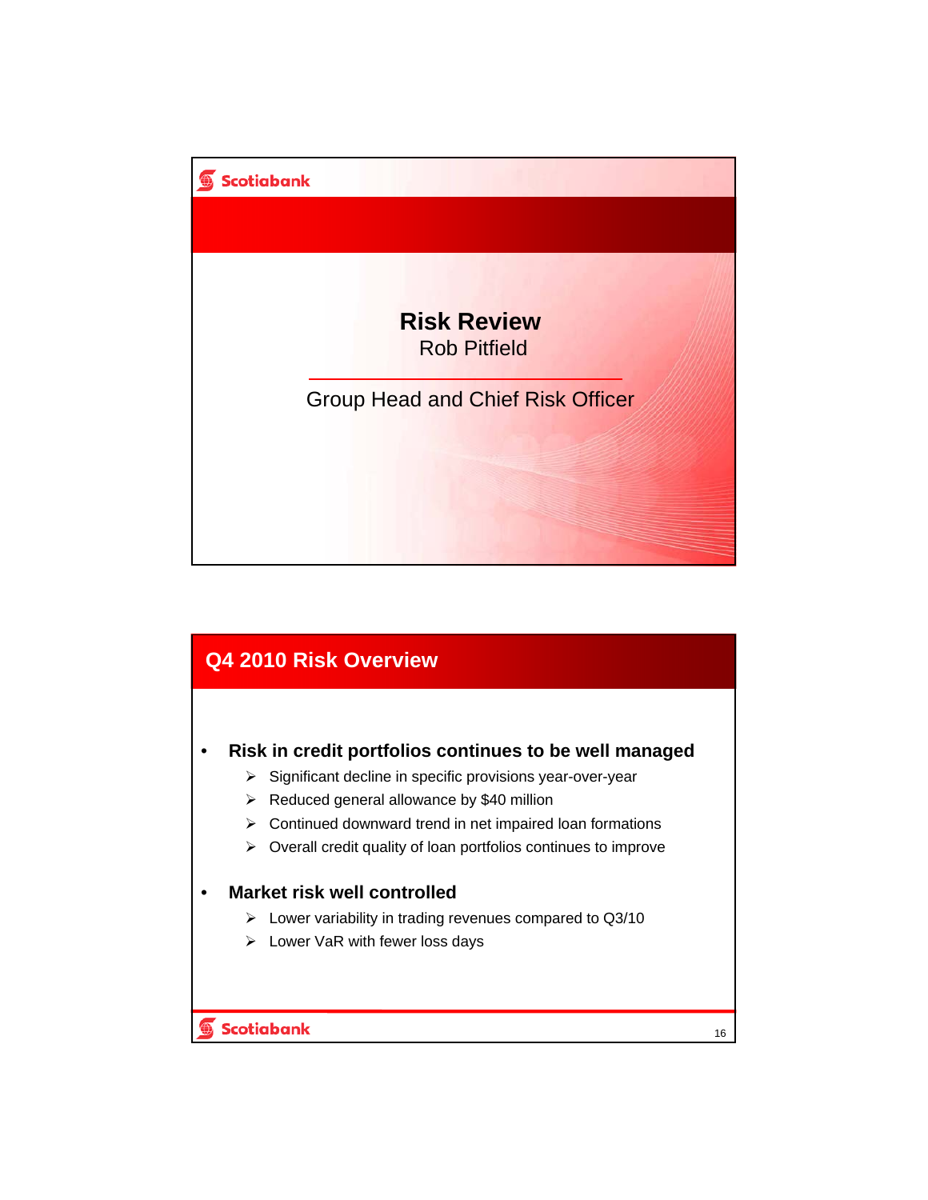

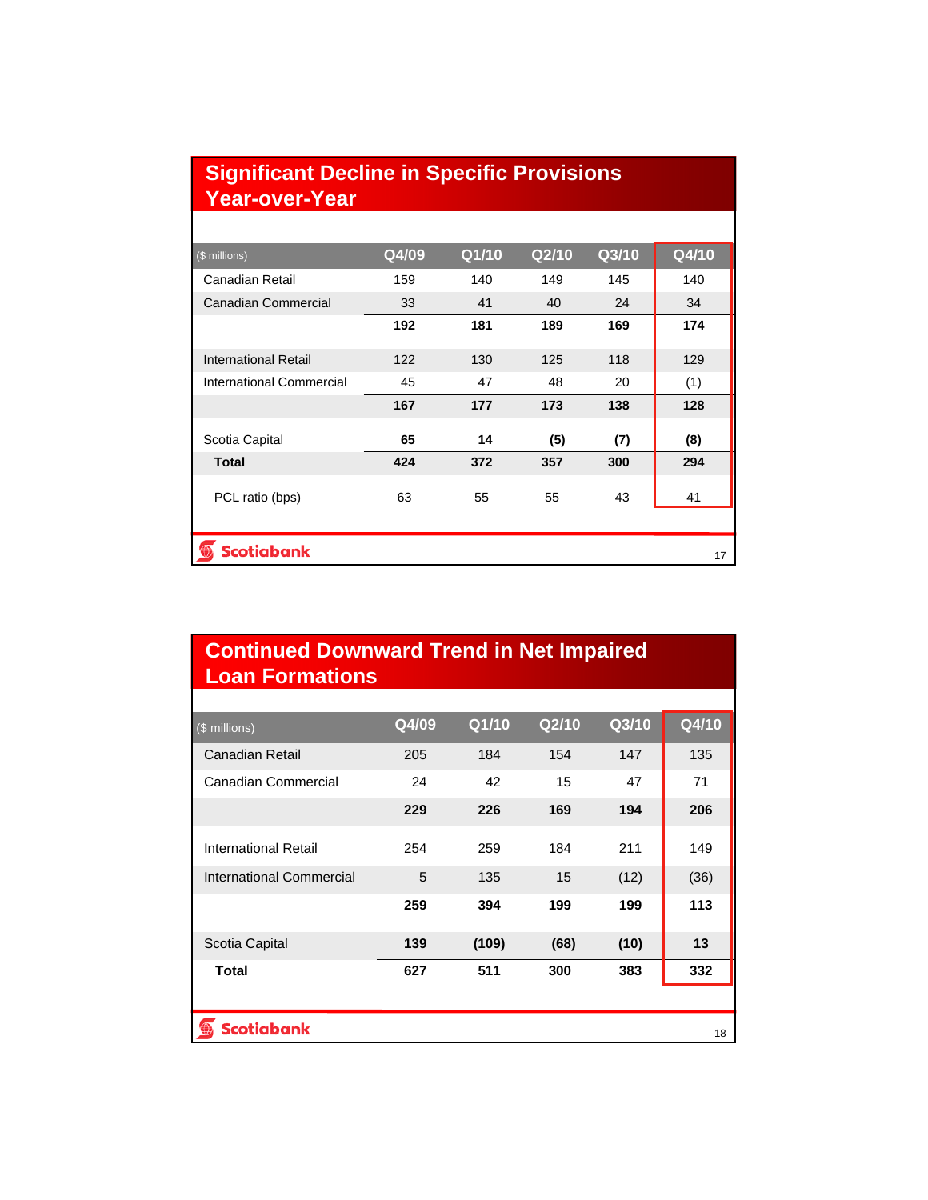#### **Significant Decline in Specific Provisions Year-over-Year**

| (\$ millions)            | Q4/09 | Q1/10 | Q2/10 | Q3/10 | $Q$ 4/10 |
|--------------------------|-------|-------|-------|-------|----------|
| Canadian Retail          | 159   | 140   | 149   | 145   | 140      |
| Canadian Commercial      | 33    | 41    | 40    | 24    | 34       |
|                          | 192   | 181   | 189   | 169   | 174      |
| International Retail     | 122   | 130   | 125   | 118   | 129      |
| International Commercial | 45    | 47    | 48    | 20    | (1)      |
|                          | 167   | 177   | 173   | 138   | 128      |
| Scotia Capital           | 65    | 14    | (5)   | (7)   | (8)      |
| <b>Total</b>             | 424   | 372   | 357   | 300   | 294      |
| PCL ratio (bps)          | 63    | 55    | 55    | 43    | 41       |
| <b>Scotiabank</b>        |       |       |       |       | 17       |

## **Continued Downward Trend in Net Impaired Loan Formations**

| (\$ millions)            | Q4/09 | Q1/10 | Q <sub>2/10</sub> | Q3/10 | Q4/10 |  |
|--------------------------|-------|-------|-------------------|-------|-------|--|
| Canadian Retail          | 205   | 184   | 154               | 147   | 135   |  |
| Canadian Commercial      | 24    | 42    | 15                | 47    | 71    |  |
|                          | 229   | 226   | 169               | 194   | 206   |  |
| International Retail     | 254   | 259   | 184               | 211   | 149   |  |
| International Commercial | 5     | 135   | 15                | (12)  | (36)  |  |
|                          | 259   | 394   | 199               | 199   | 113   |  |
| Scotia Capital           | 139   | (109) | (68)              | (10)  | 13    |  |
| <b>Total</b>             | 627   | 511   | 300               | 383   | 332   |  |
|                          |       |       |                   |       |       |  |
| <b>Scotiabank</b><br>18  |       |       |                   |       |       |  |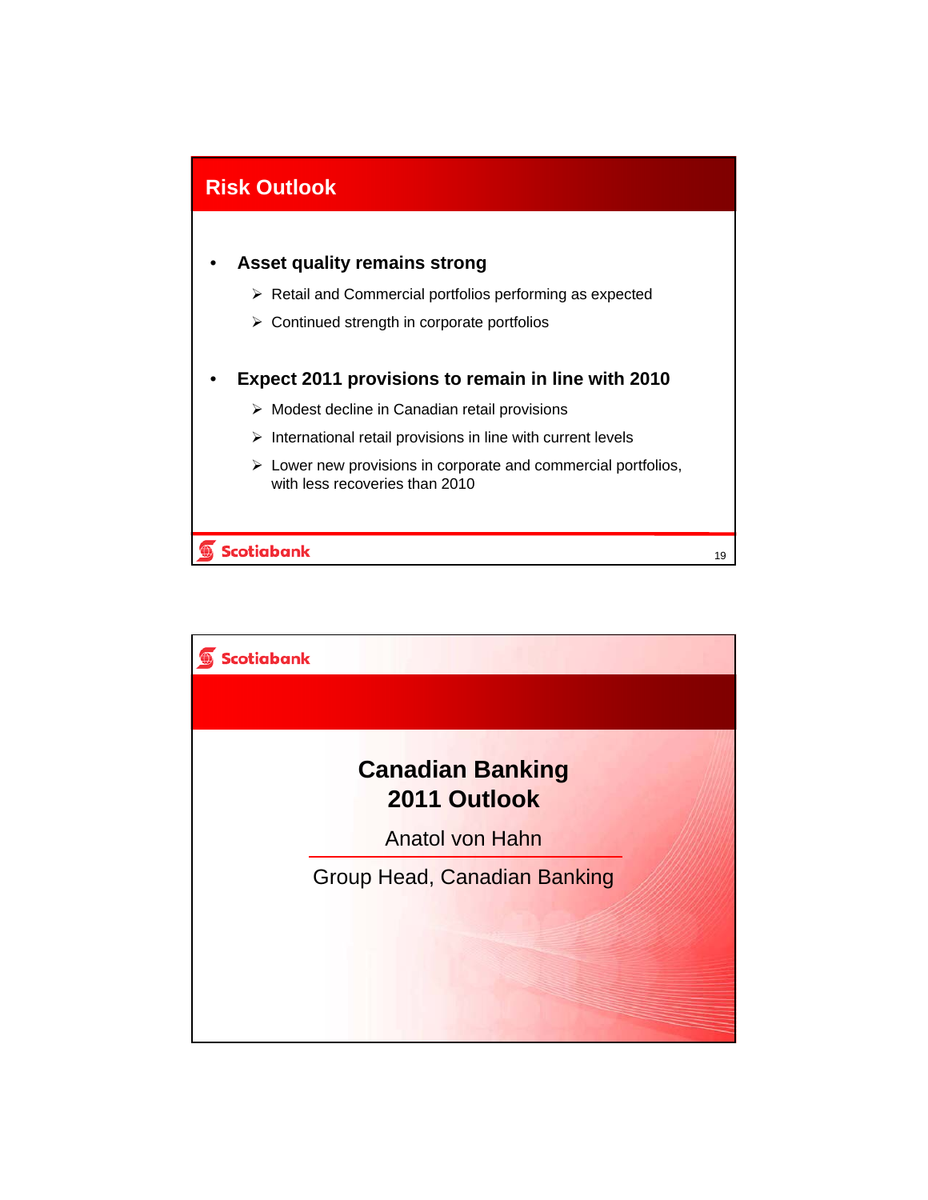

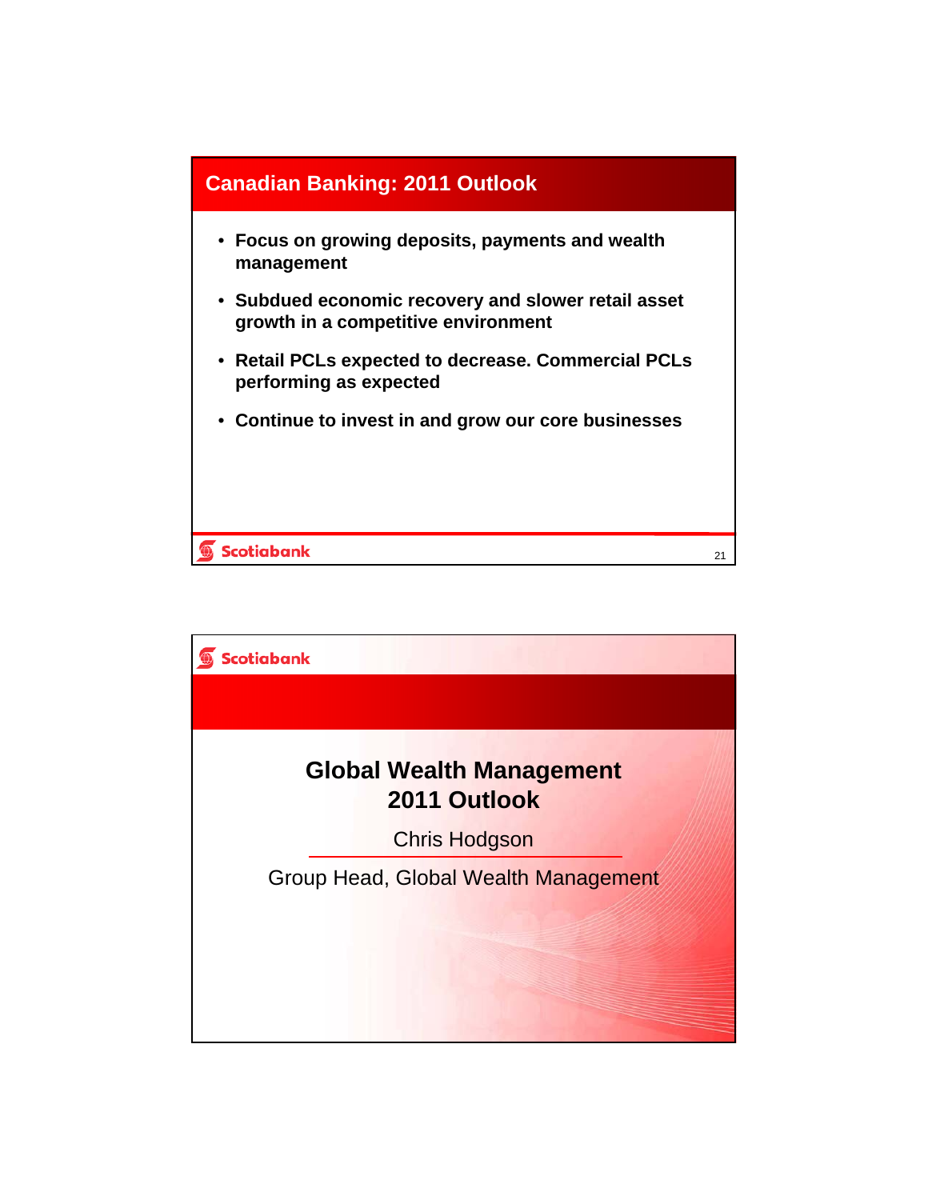

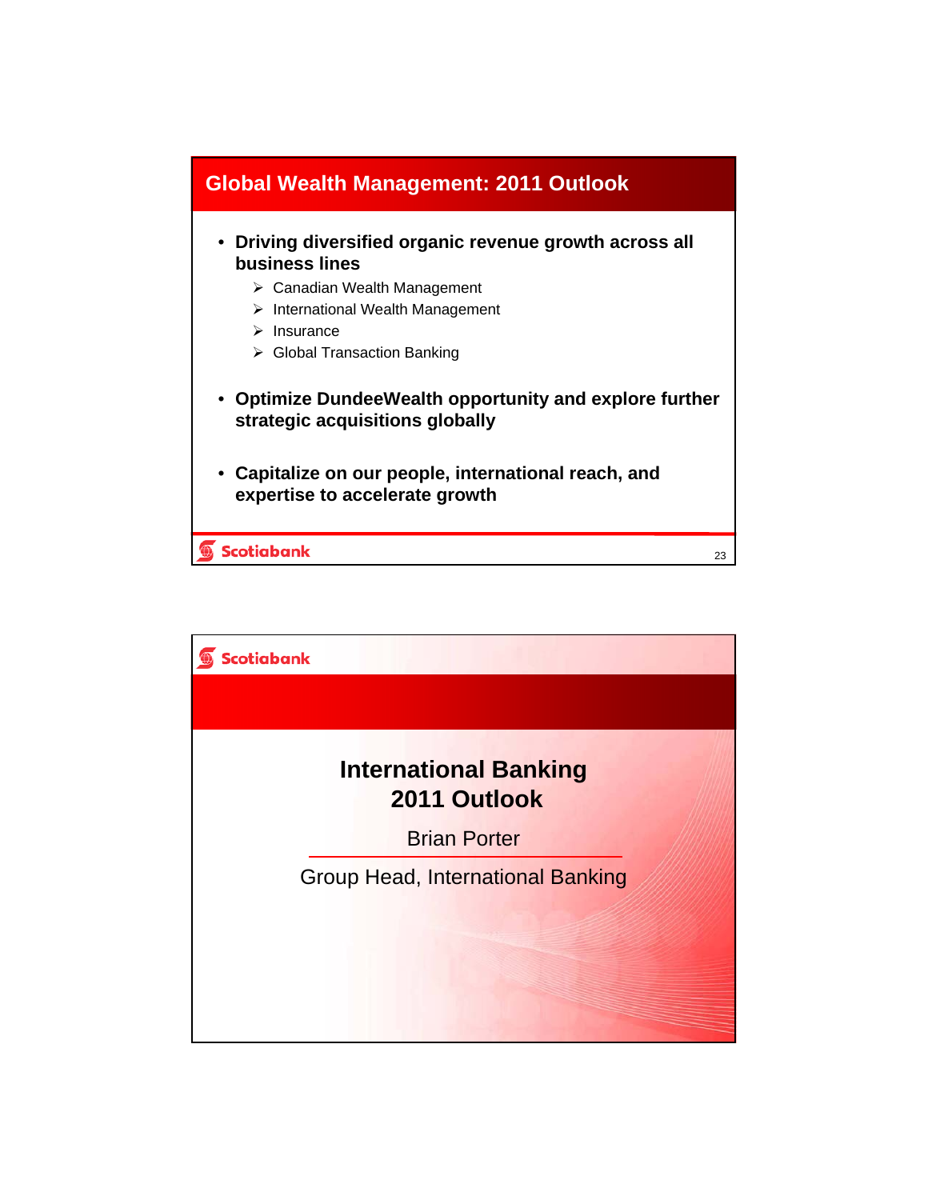

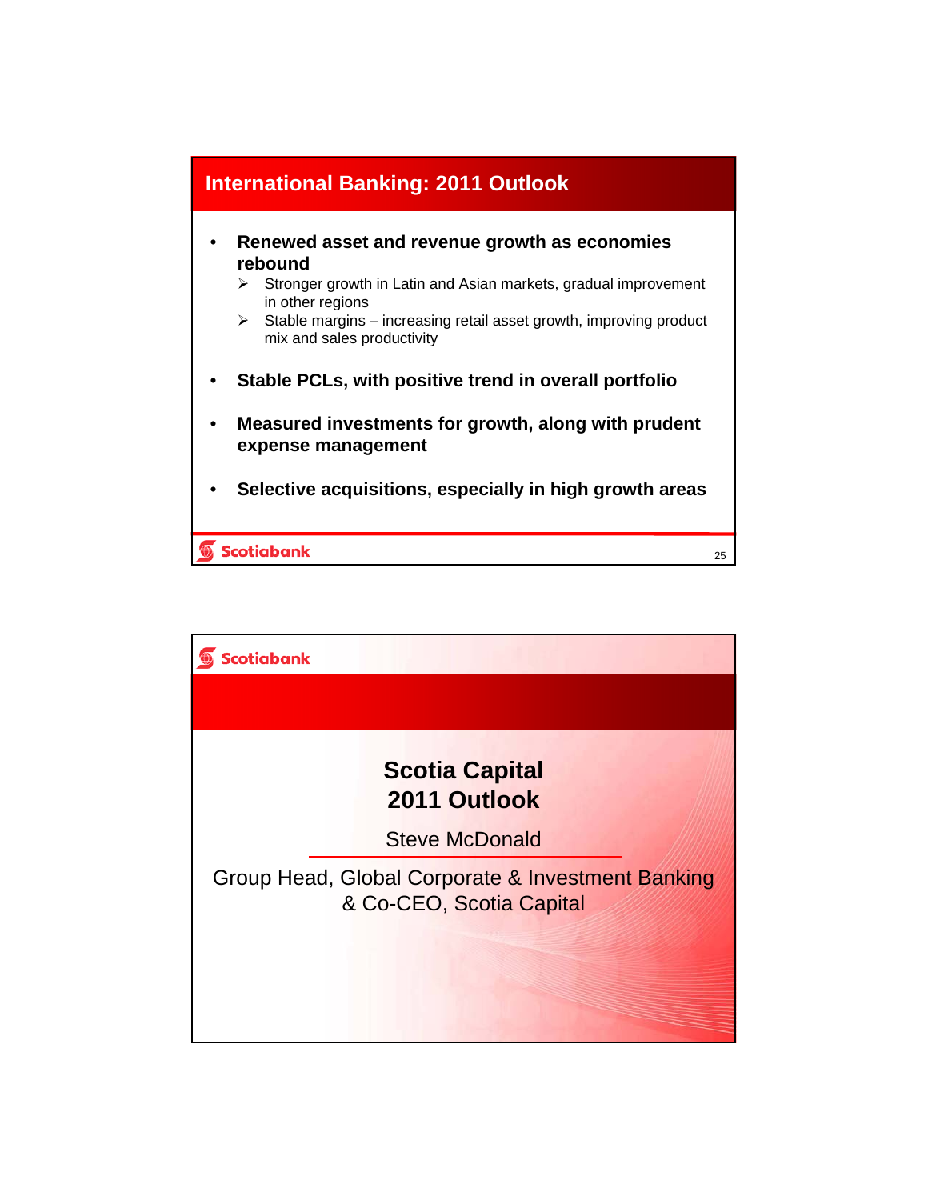

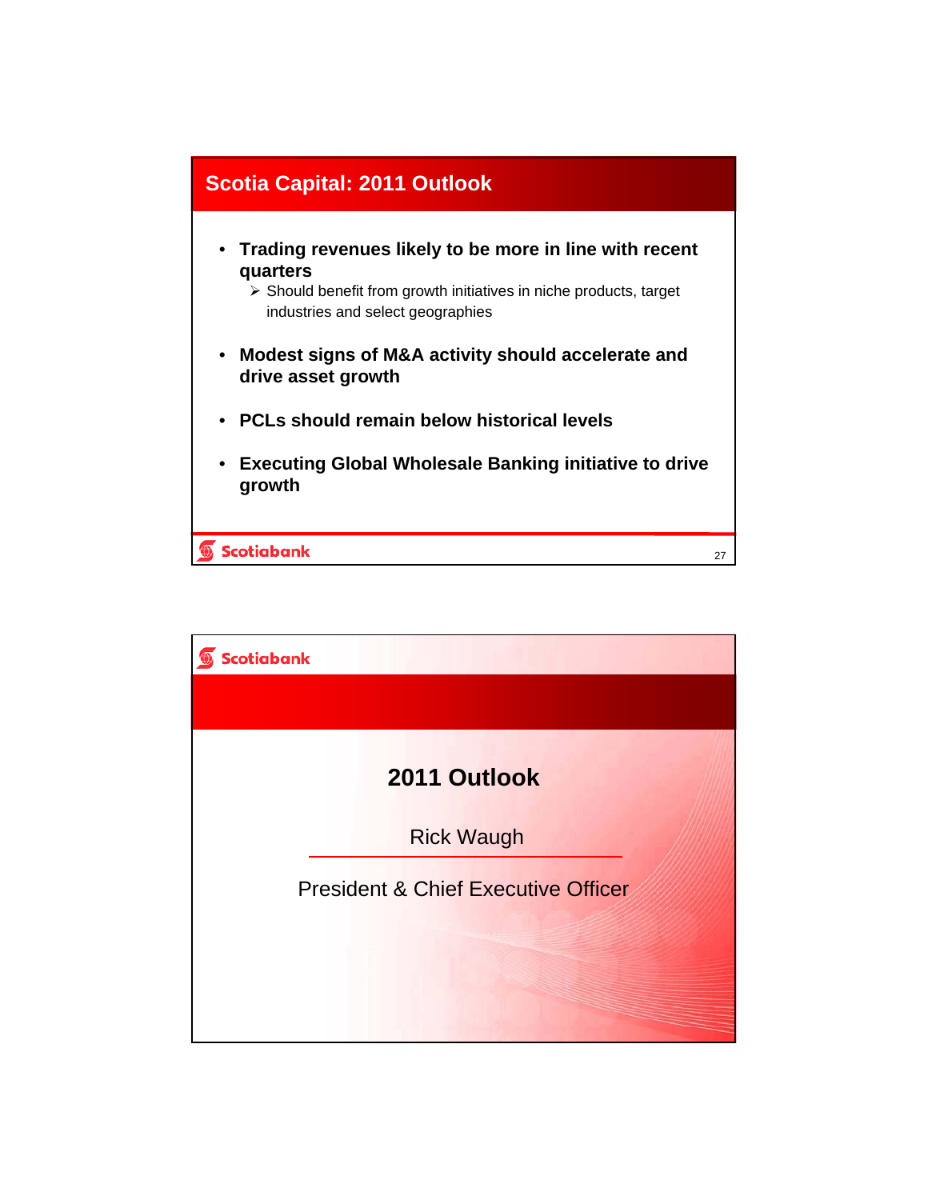

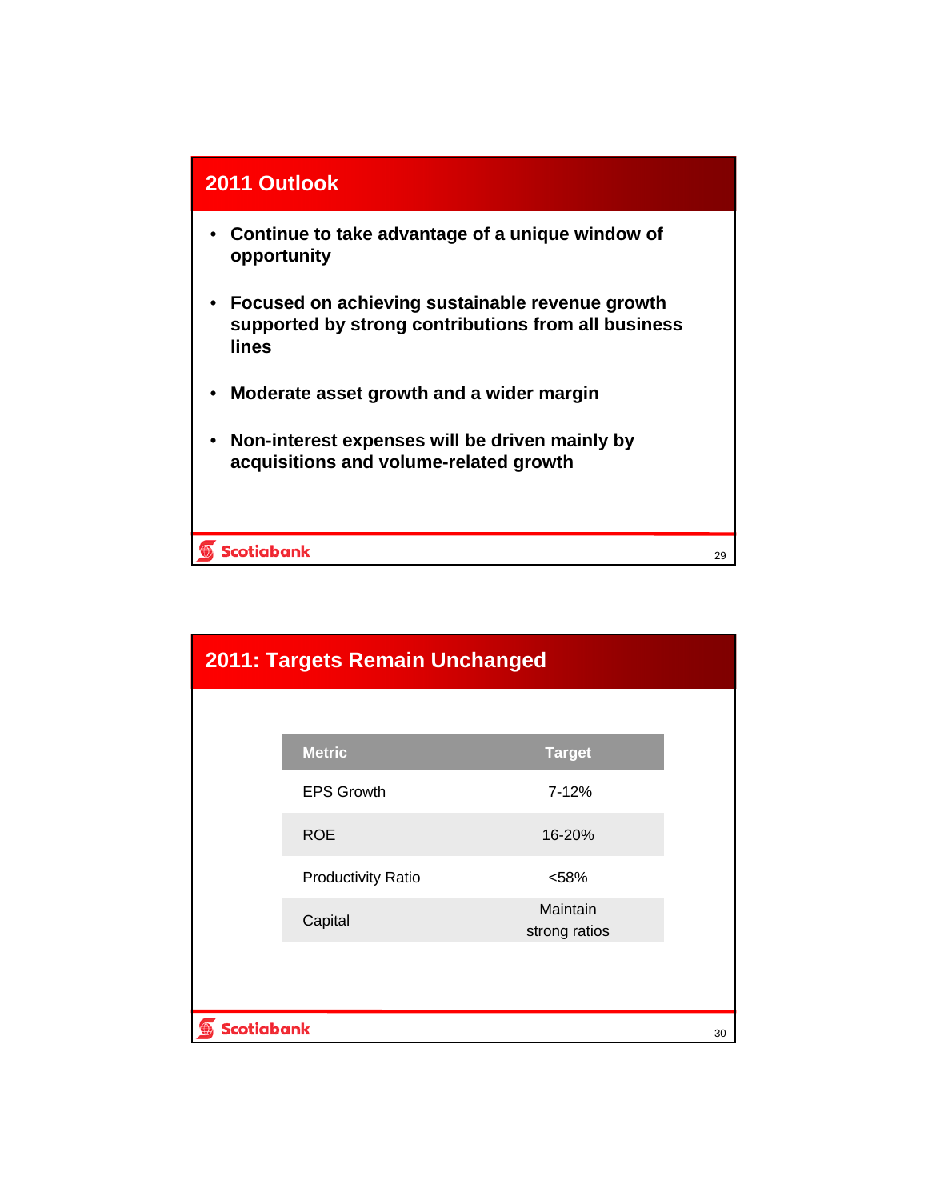

|                   | <b>2011: Targets Remain Unchanged</b> |                           |    |  |  |  |
|-------------------|---------------------------------------|---------------------------|----|--|--|--|
|                   |                                       |                           |    |  |  |  |
|                   | <b>Metric</b>                         | <b>Target</b>             |    |  |  |  |
|                   | <b>EPS Growth</b>                     | 7-12%                     |    |  |  |  |
|                   | <b>ROE</b>                            | 16-20%                    |    |  |  |  |
|                   | <b>Productivity Ratio</b>             | < 58%                     |    |  |  |  |
|                   | Capital                               | Maintain<br>strong ratios |    |  |  |  |
|                   |                                       |                           |    |  |  |  |
|                   |                                       |                           |    |  |  |  |
| <b>Scotiabank</b> |                                       |                           | 30 |  |  |  |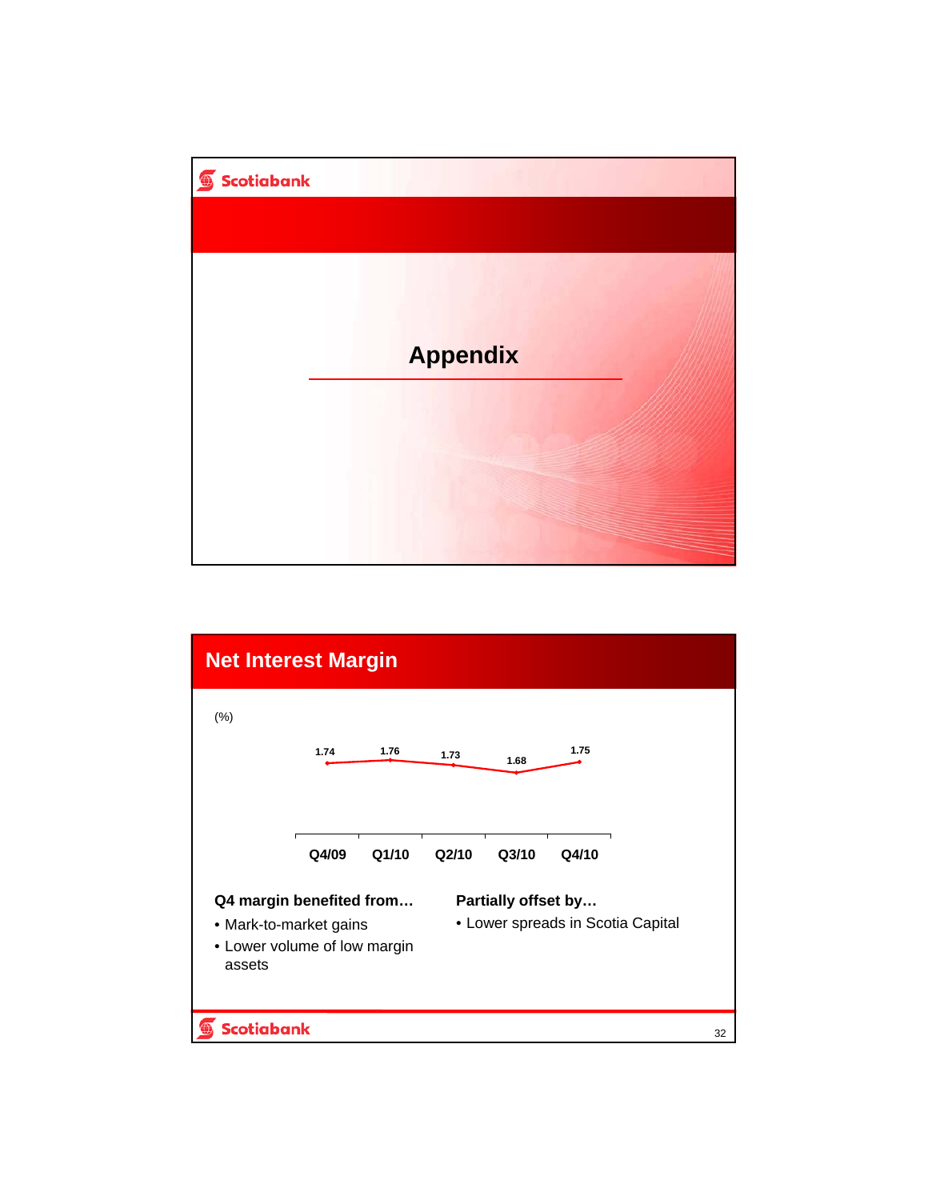

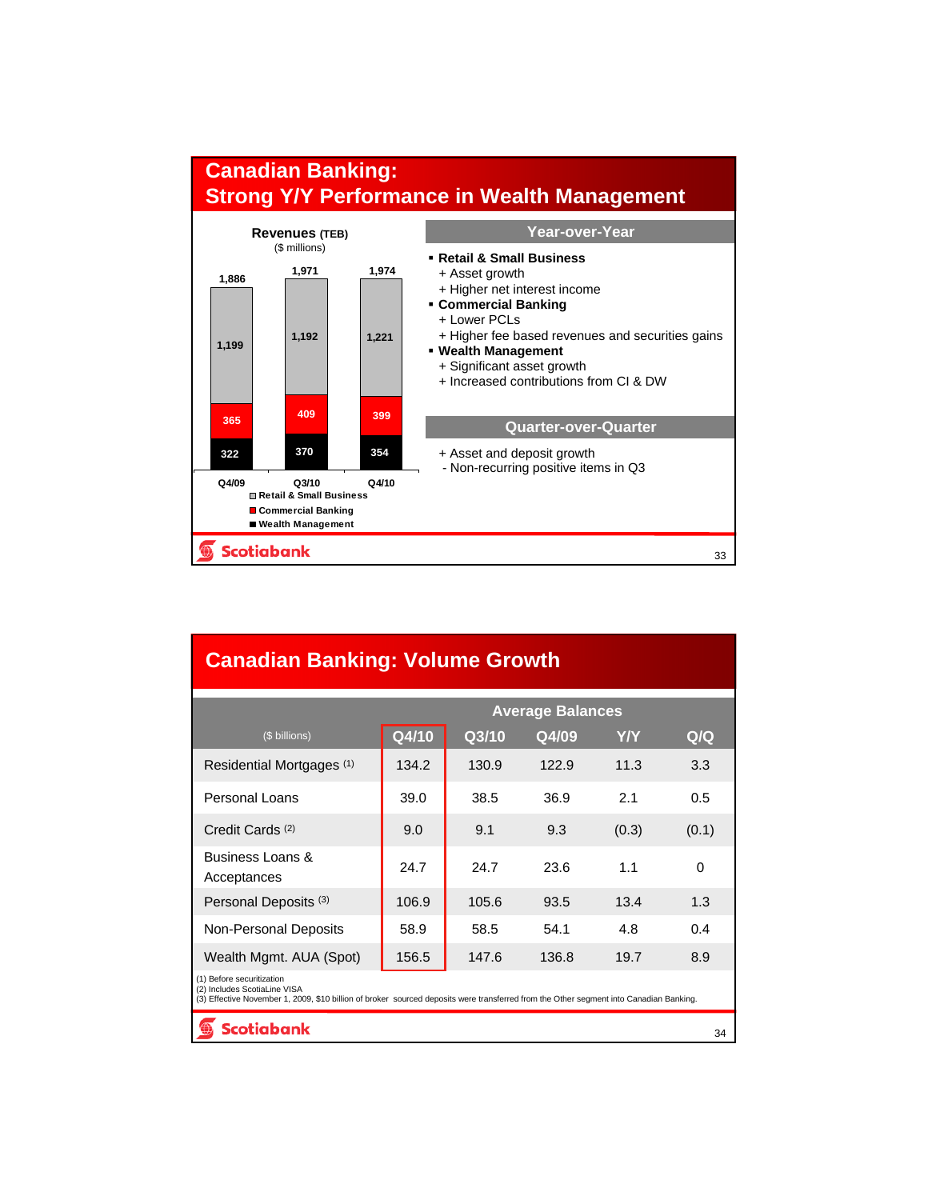

| <b>Canadian Banking: Volume Growth</b>                                                                                                                                                              |       |       |       |       |       |  |  |
|-----------------------------------------------------------------------------------------------------------------------------------------------------------------------------------------------------|-------|-------|-------|-------|-------|--|--|
| <b>Average Balances</b>                                                                                                                                                                             |       |       |       |       |       |  |  |
| (\$ billions)                                                                                                                                                                                       | Q4/10 | Q3/10 | Q4/09 | Y/Y   | Q/Q   |  |  |
| Residential Mortgages (1)                                                                                                                                                                           | 134.2 | 130.9 | 122.9 | 11.3  | 3.3   |  |  |
| Personal Loans                                                                                                                                                                                      | 39.0  | 38.5  | 36.9  | 2.1   | 0.5   |  |  |
| Credit Cards <sup>(2)</sup>                                                                                                                                                                         | 9.0   | 9.1   | 9.3   | (0.3) | (0.1) |  |  |
| Business Loans &<br>Acceptances                                                                                                                                                                     | 24.7  | 24.7  | 23.6  | 1.1   | 0     |  |  |
| Personal Deposits (3)                                                                                                                                                                               | 106.9 | 105.6 | 93.5  | 13.4  | 1.3   |  |  |
| Non-Personal Deposits                                                                                                                                                                               | 58.9  | 58.5  | 54.1  | 4.8   | 0.4   |  |  |
| Wealth Mgmt. AUA (Spot)                                                                                                                                                                             | 156.5 | 147.6 | 136.8 | 19.7  | 8.9   |  |  |
| (1) Before securitization<br>(2) Includes ScotiaLine VISA<br>(3) Effective November 1, 2009, \$10 billion of broker sourced deposits were transferred from the Other segment into Canadian Banking. |       |       |       |       |       |  |  |
| Scotiabank                                                                                                                                                                                          | 34    |       |       |       |       |  |  |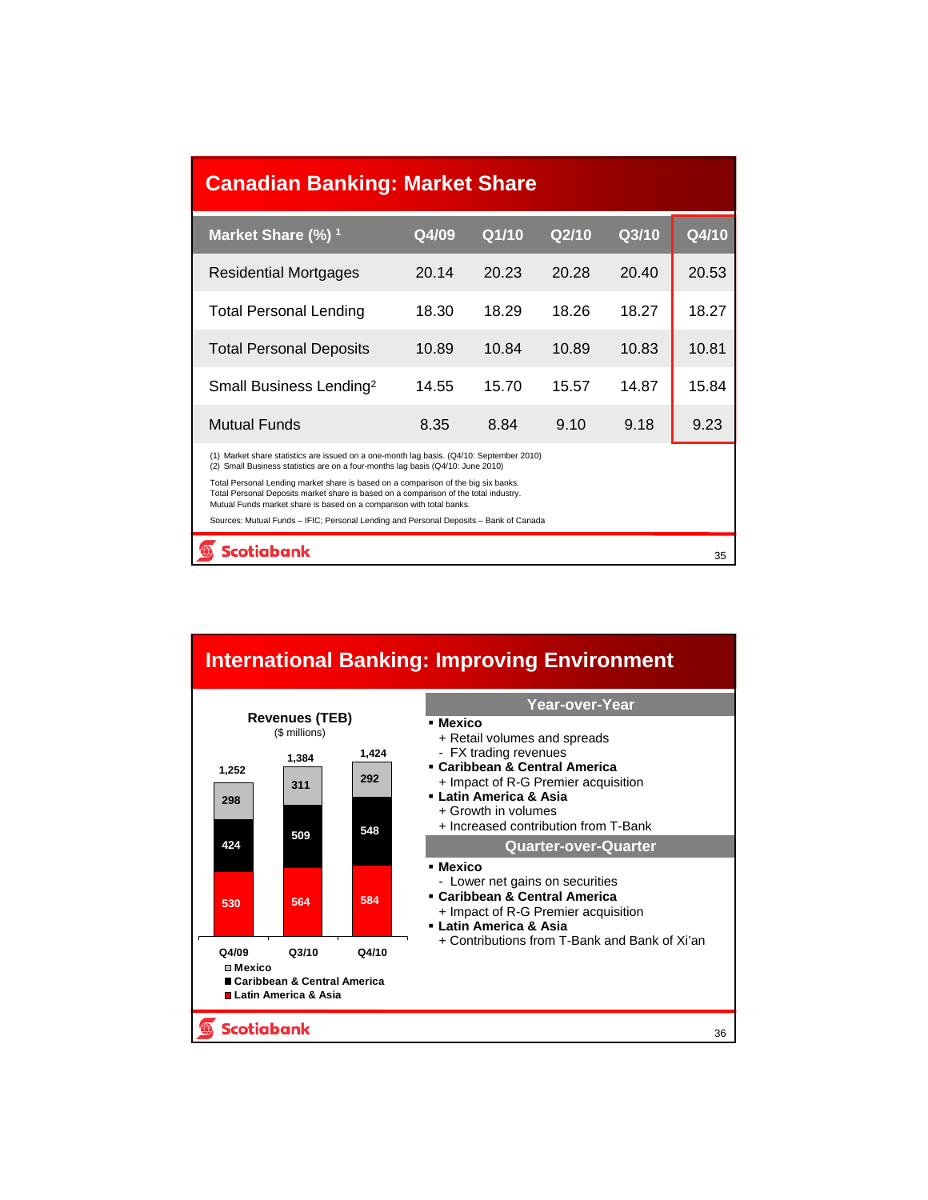| <b>Canadian Banking: Market Share</b>                                                                                                                                                                                                              |       |       |       |       |       |
|----------------------------------------------------------------------------------------------------------------------------------------------------------------------------------------------------------------------------------------------------|-------|-------|-------|-------|-------|
| Market Share (%) <sup>1</sup>                                                                                                                                                                                                                      | Q4/09 | Q1/10 | Q2/10 | Q3/10 | Q4/10 |
| Residential Mortgages                                                                                                                                                                                                                              | 20.14 | 20.23 | 20.28 | 20.40 | 20.53 |
| <b>Total Personal Lending</b>                                                                                                                                                                                                                      | 18.30 | 18.29 | 18.26 | 18.27 | 18.27 |
| <b>Total Personal Deposits</b>                                                                                                                                                                                                                     | 10.89 | 10.84 | 10.89 | 10.83 | 10.81 |
| Small Business Lending <sup>2</sup>                                                                                                                                                                                                                | 14.55 | 15.70 | 15.57 | 14.87 | 15.84 |
| <b>Mutual Funds</b>                                                                                                                                                                                                                                | 8.35  | 8.84  | 9.10  | 9.18  | 9.23  |
| (1) Market share statistics are issued on a one-month lag basis. (Q4/10: September 2010)<br>(2) Small Business statistics are on a four-months lag basis (Q4/10: June 2010)                                                                        |       |       |       |       |       |
| Total Personal Lending market share is based on a comparison of the big six banks.<br>Total Personal Deposits market share is based on a comparison of the total industry.<br>Mutual Funds market share is based on a comparison with total banks. |       |       |       |       |       |
| Sources: Mutual Funds - IFIC; Personal Lending and Personal Deposits - Bank of Canada                                                                                                                                                              |       |       |       |       |       |
| Scotiabank                                                                                                                                                                                                                                         |       |       |       |       | 35    |

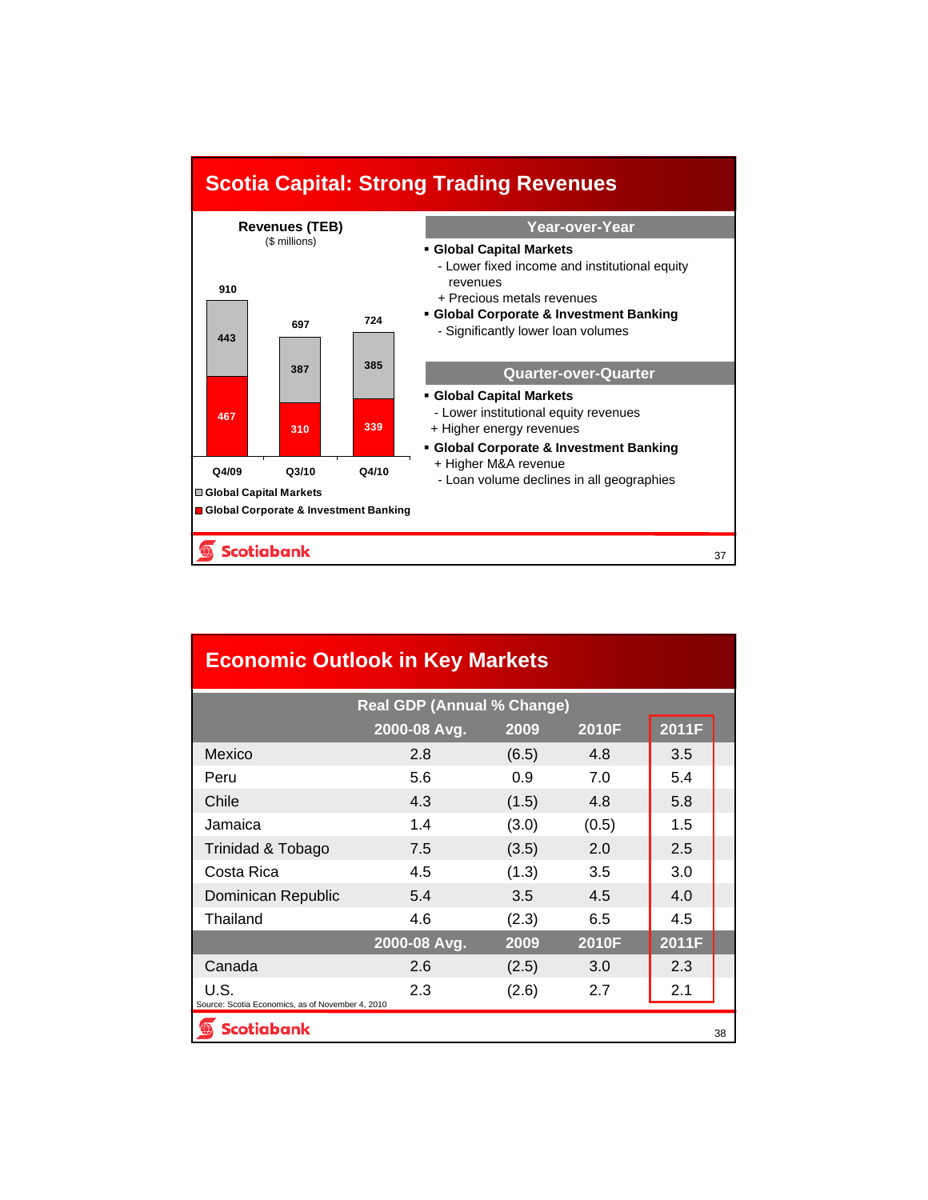

#### **Economic Outlook in Key MarketsReal GDP (Annual % Change) 2011F 2000-08 Avg. 2009 2010F** 2.8 (6.5) 4.8 Mexico 2.8 (6.5) 4.8 3.5 5.6 0.9 7.0 Peru 5.6 0.9 7.0 5.4 4.8 Chile 1.3 (1.5) 4.8 5.8 4.3 (1.5) Jamaica 1.4 (3.0) (0.5) 1.5 1.4 (3.0) (0.5) Trinidad & Tobago 7.5 (3.5) 2.0 2.5 7.5 (3.5) 2.0 Costa Rica  $\begin{array}{ccc} 4.5 & (1.3) & 3.5 & 3.0 \\ 3.0 & (1.3) & (1.3) & (1.3) \end{array}$ 4.5 (1.3) 3.5 Dominican Republic  $5.4$   $3.5$   $4.5$   $4.0$ 5.4 3.5 4.5 Thailand 4.6 (2.3) 6.5 4.5 4.6 (2.3) 6.5 **2000-08 Avg. 2009 2010F 2011F** 2.6 (2.5) 3.0 Canada 2.3 2.3 (2.6) 2.7 U.S. 2.3 (2.6) 2.7 2.1 Source: Scotia Economics, as of November 4, 2010 **Scotiabank** 38

## **Scotia Capital: Strong Trading Revenues**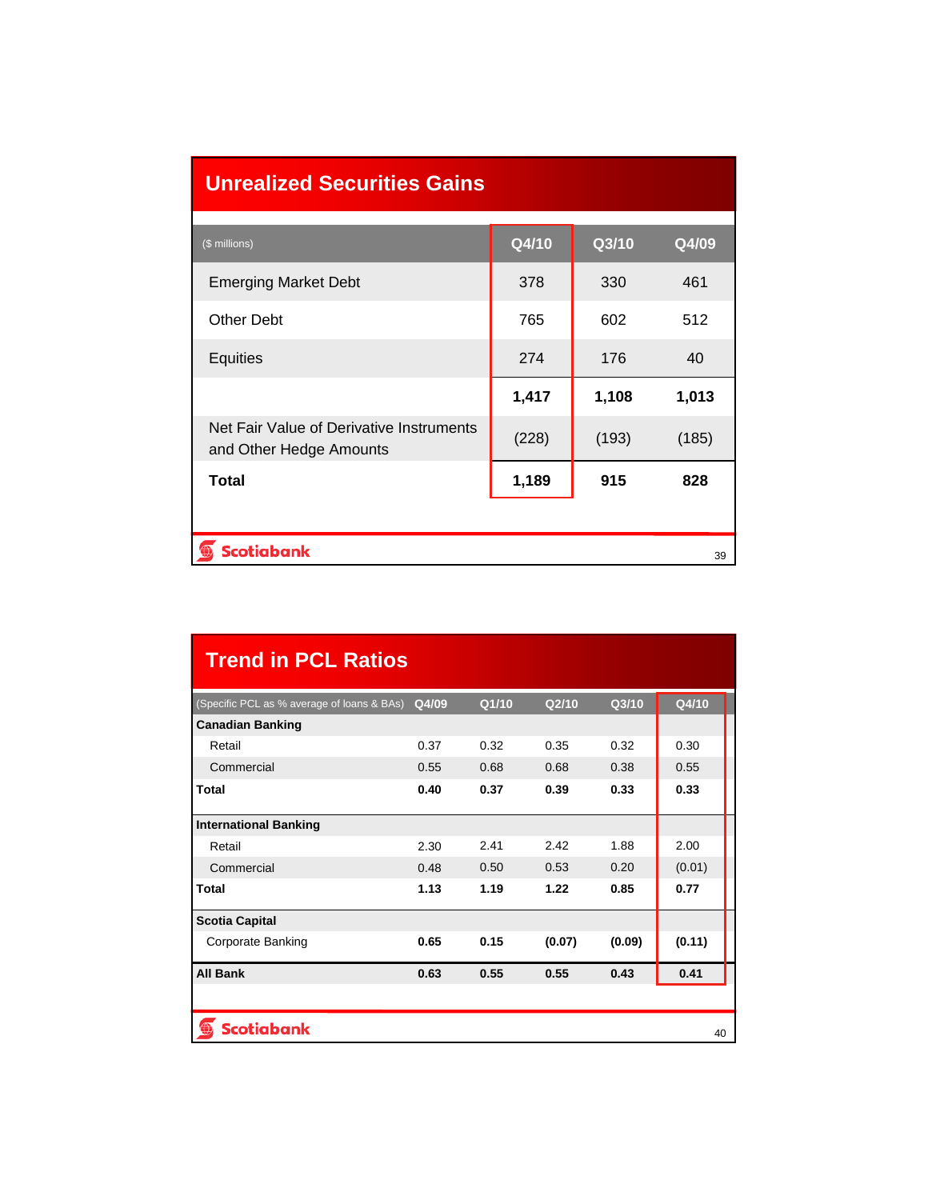| <b>Unrealized Securities Gains</b>                                  |       |       |       |  |  |  |
|---------------------------------------------------------------------|-------|-------|-------|--|--|--|
| (\$ millions)                                                       | Q4/10 | Q3/10 | Q4/09 |  |  |  |
| <b>Emerging Market Debt</b>                                         | 378   | 330   | 461   |  |  |  |
| <b>Other Debt</b>                                                   | 765   | 602   | 512   |  |  |  |
| Equities                                                            | 274   | 176   | 40    |  |  |  |
|                                                                     | 1,417 | 1,108 | 1,013 |  |  |  |
| Net Fair Value of Derivative Instruments<br>and Other Hedge Amounts | (228) | (193) | (185) |  |  |  |
| <b>Total</b>                                                        | 1,189 | 915   | 828   |  |  |  |
|                                                                     |       |       |       |  |  |  |
| <b>Scotiabank</b><br>39                                             |       |       |       |  |  |  |

| <b>Trend in PCL Ratios</b>                 |       |       |        |        |        |
|--------------------------------------------|-------|-------|--------|--------|--------|
| (Specific PCL as % average of loans & BAs) | Q4/09 | Q1/10 | Q2/10  | Q3/10  | Q4/10  |
| <b>Canadian Banking</b>                    |       |       |        |        |        |
| Retail                                     | 0.37  | 0.32  | 0.35   | 0.32   | 0.30   |
| Commercial                                 | 0.55  | 0.68  | 0.68   | 0.38   | 0.55   |
| Total                                      | 0.40  | 0.37  | 0.39   | 0.33   | 0.33   |
| <b>International Banking</b>               |       |       |        |        |        |
| Retail                                     | 2.30  | 2.41  | 2.42   | 1.88   | 2.00   |
| Commercial                                 | 0.48  | 0.50  | 0.53   | 0.20   | (0.01) |
| <b>Total</b>                               | 1.13  | 1.19  | 1.22   | 0.85   | 0.77   |
| <b>Scotia Capital</b>                      |       |       |        |        |        |
| <b>Corporate Banking</b>                   | 0.65  | 0.15  | (0.07) | (0.09) | (0.11) |
| <b>All Bank</b>                            | 0.63  | 0.55  | 0.55   | 0.43   | 0.41   |
|                                            |       |       |        |        |        |
| <b>Scotiabank</b><br>40                    |       |       |        |        |        |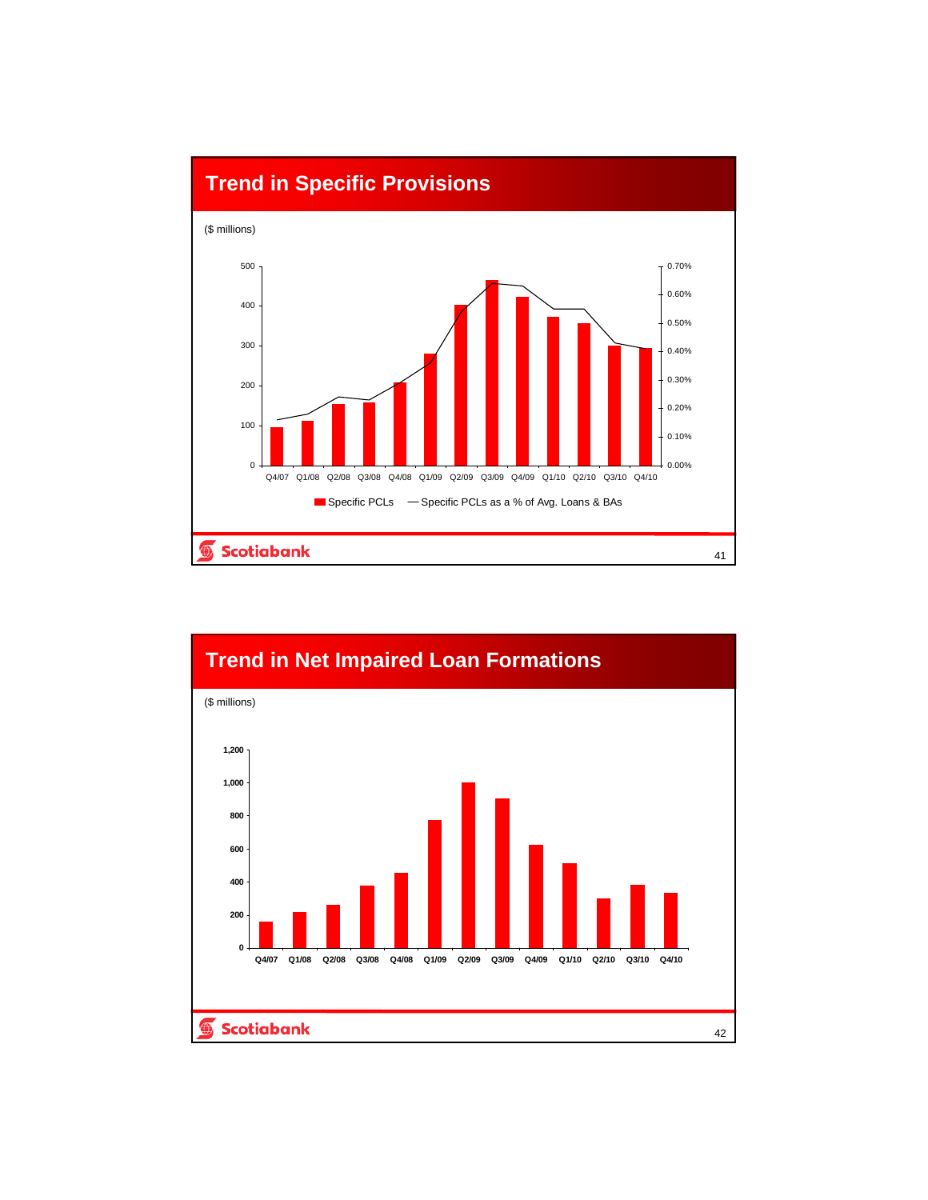

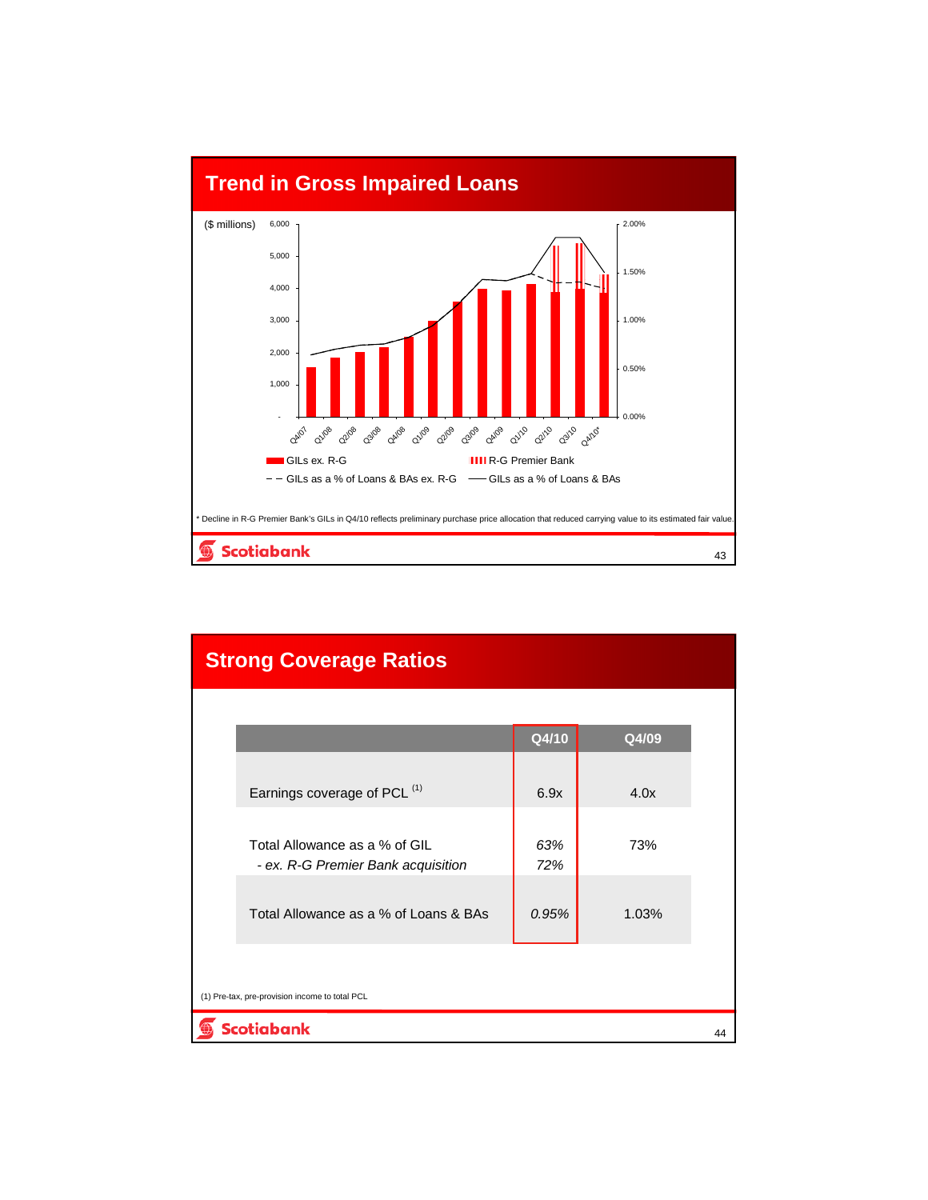

| <b>Strong Coverage Ratios</b>                  |                                                                     |            |       |    |  |
|------------------------------------------------|---------------------------------------------------------------------|------------|-------|----|--|
|                                                |                                                                     |            |       |    |  |
|                                                |                                                                     | Q4/10      | Q4/09 |    |  |
|                                                | Earnings coverage of PCL (1)                                        | 6.9x       | 4.0x  |    |  |
|                                                | Total Allowance as a % of GIL<br>- ex. R-G Premier Bank acquisition | 63%<br>72% | 73%   |    |  |
|                                                | Total Allowance as a % of Loans & BAs                               | 0.95%      | 1.03% |    |  |
| (1) Pre-tax, pre-provision income to total PCL |                                                                     |            |       |    |  |
|                                                | Scotiabank                                                          |            |       | 44 |  |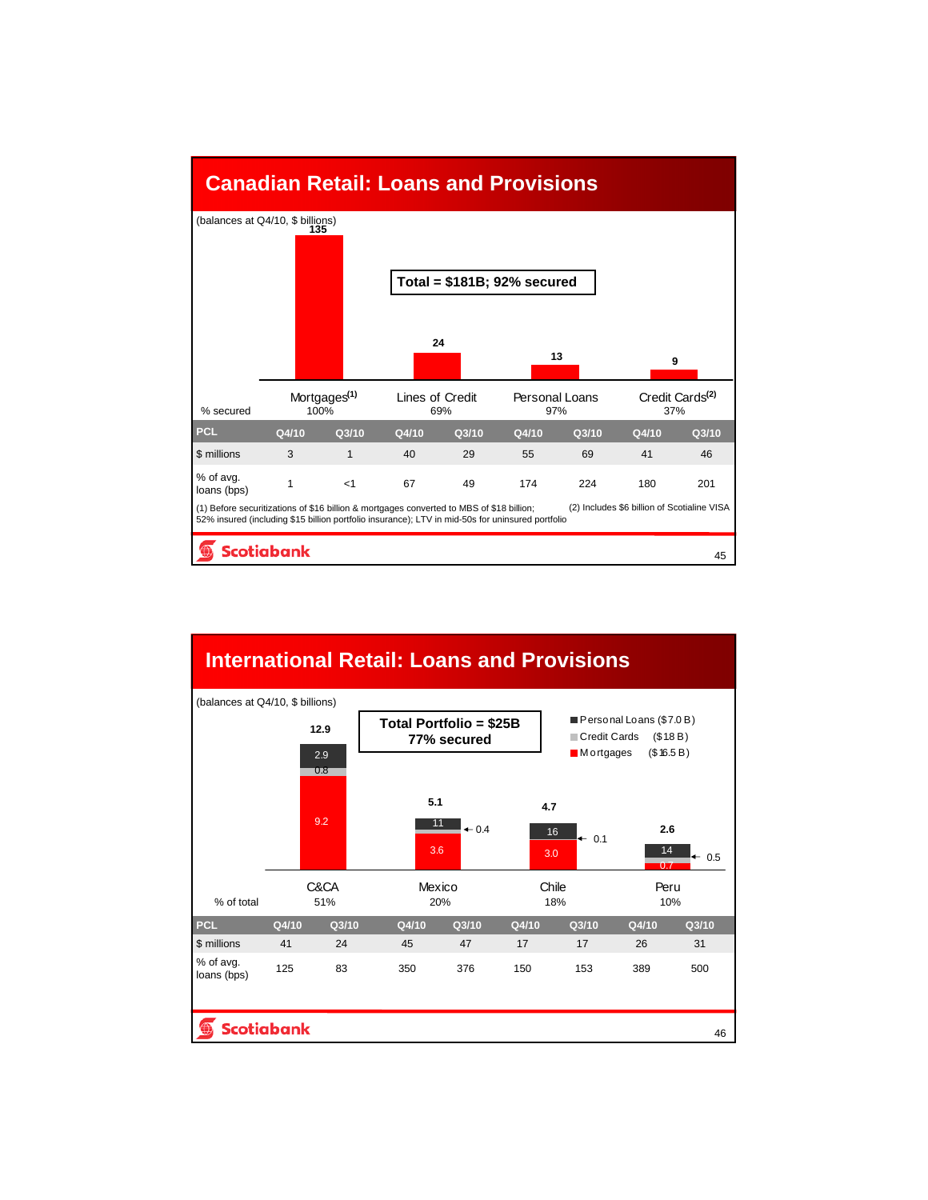

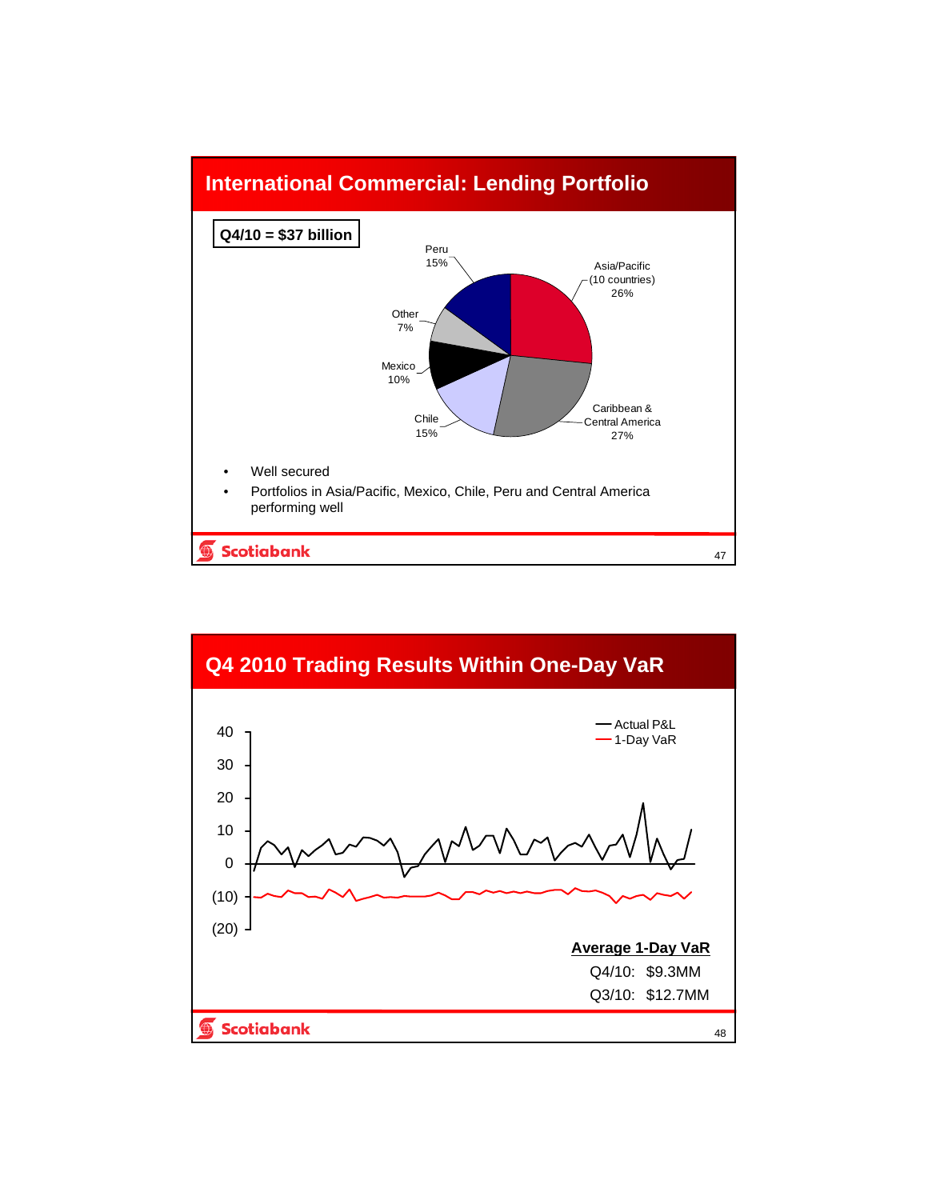